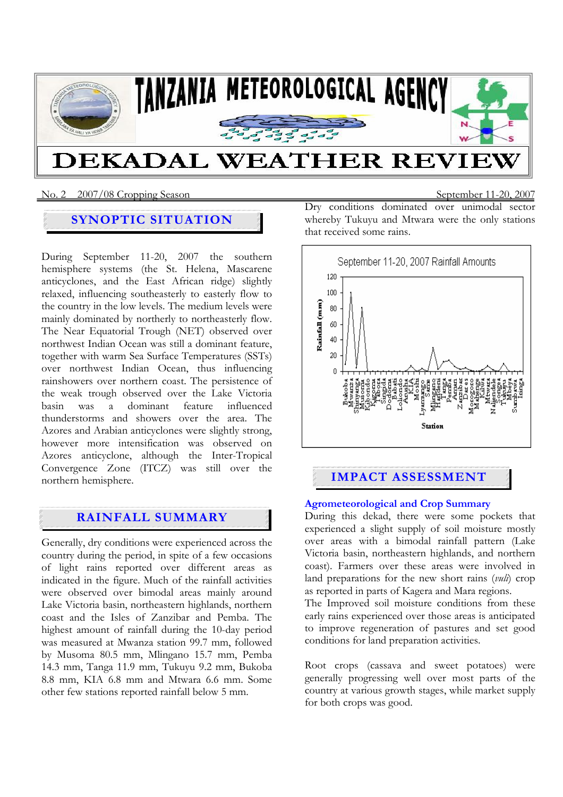

## No. 2 2007/08 Cropping SeasonSeptember 11-20, 2007

# **SYNOPTIC SITUATION**

During September 11-20, 2007 the southern hemisphere systems (the St. Helena, Mascarene anticyclones, and the East African ridge) slightly relaxed, influencing southeasterly to easterly flow to the country in the low levels. The medium levels were mainly dominated by northerly to northeasterly flow. The Near Equatorial Trough (NET) observed over northwest Indian Ocean was still a dominant feature, together with warm Sea Surface Temperatures (SSTs) over northwest Indian Ocean, thus influencing rainshowers over northern coast. The persistence of the weak trough observed over the Lake Victoria basin was a dominant feature influenced thunderstorms and showers over the area. The Azores and Arabian anticyclones were slightly strong, however more intensification was observed on Azores anticyclone, although the Inter-Tropical Convergence Zone (ITCZ) was still over the northern hemisphere.

# **RAINFALL SUMMARY**

Generally, dry conditions were experienced across the country during the period, in spite of a few occasions of light rains reported over different areas as indicated in the figure. Much of the rainfall activities were observed over bimodal areas mainly around Lake Victoria basin, northeastern highlands, northern coast and the Isles of Zanzibar and Pemba. The highest amount of rainfall during the 10-day period was measured at Mwanza station 99.7 mm, followed by Musoma 80.5 mm, Mlingano 15.7 mm, Pemba 14.3 mm, Tanga 11.9 mm, Tukuyu 9.2 mm, Bukoba 8.8 mm, KIA 6.8 mm and Mtwara 6.6 mm. Some other few stations reported rainfall below 5 mm.

Dry conditions dominated over unimodal sector whereby Tukuyu and Mtwara were the only stations that received some rains.



# **IMPACT ASSESSMENT**

## **Agrometeorological and Crop Summary**

During this dekad, there were some pockets that experienced a slight supply of soil moisture mostly over areas with a bimodal rainfall pattern (Lake Victoria basin, northeastern highlands, and northern coast). Farmers over these areas were involved in land preparations for the new short rains (*vuli*) crop as reported in parts of Kagera and Mara regions.

The Improved soil moisture conditions from these early rains experienced over those areas is anticipated to improve regeneration of pastures and set good conditions for land preparation activities.

Root crops (cassava and sweet potatoes) were generally progressing well over most parts of the country at various growth stages, while market supply for both crops was good.